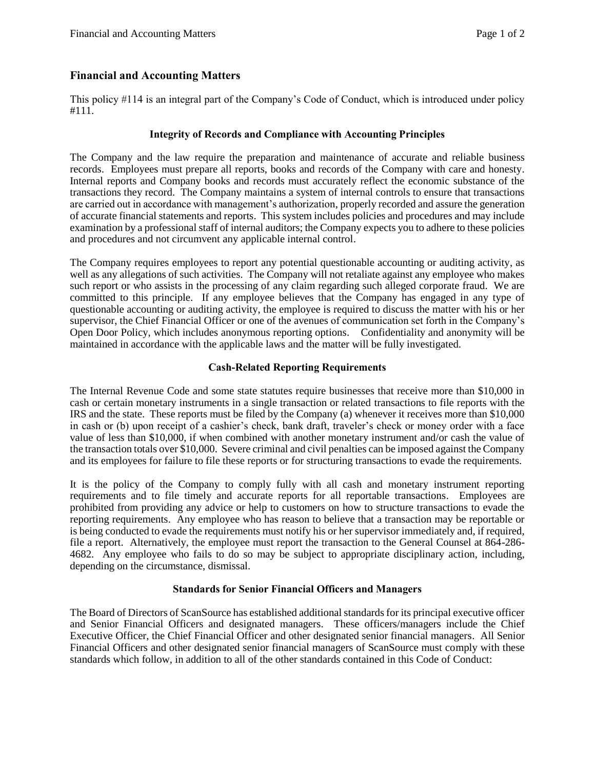# **Financial and Accounting Matters**

This policy #114 is an integral part of the Company's Code of Conduct, which is introduced under policy #111.

## **Integrity of Records and Compliance with Accounting Principles**

The Company and the law require the preparation and maintenance of accurate and reliable business records. Employees must prepare all reports, books and records of the Company with care and honesty. Internal reports and Company books and records must accurately reflect the economic substance of the transactions they record. The Company maintains a system of internal controls to ensure that transactions are carried out in accordance with management's authorization, properly recorded and assure the generation of accurate financial statements and reports. This system includes policies and procedures and may include examination by a professional staff of internal auditors; the Company expects you to adhere to these policies and procedures and not circumvent any applicable internal control.

The Company requires employees to report any potential questionable accounting or auditing activity, as well as any allegations of such activities. The Company will not retaliate against any employee who makes such report or who assists in the processing of any claim regarding such alleged corporate fraud. We are committed to this principle. If any employee believes that the Company has engaged in any type of questionable accounting or auditing activity, the employee is required to discuss the matter with his or her supervisor, the Chief Financial Officer or one of the avenues of communication set forth in the Company's Open Door Policy, which includes anonymous reporting options. Confidentiality and anonymity will be maintained in accordance with the applicable laws and the matter will be fully investigated.

## **Cash-Related Reporting Requirements**

The Internal Revenue Code and some state statutes require businesses that receive more than \$10,000 in cash or certain monetary instruments in a single transaction or related transactions to file reports with the IRS and the state. These reports must be filed by the Company (a) whenever it receives more than \$10,000 in cash or (b) upon receipt of a cashier's check, bank draft, traveler's check or money order with a face value of less than \$10,000, if when combined with another monetary instrument and/or cash the value of the transaction totals over \$10,000. Severe criminal and civil penalties can be imposed against the Company and its employees for failure to file these reports or for structuring transactions to evade the requirements.

It is the policy of the Company to comply fully with all cash and monetary instrument reporting requirements and to file timely and accurate reports for all reportable transactions. Employees are prohibited from providing any advice or help to customers on how to structure transactions to evade the reporting requirements. Any employee who has reason to believe that a transaction may be reportable or is being conducted to evade the requirements must notify his or her supervisor immediately and, if required, file a report. Alternatively, the employee must report the transaction to the General Counsel at 864-286- 4682. Any employee who fails to do so may be subject to appropriate disciplinary action, including, depending on the circumstance, dismissal.

## **Standards for Senior Financial Officers and Managers**

The Board of Directors of ScanSource has established additional standards for its principal executive officer and Senior Financial Officers and designated managers. These officers/managers include the Chief Executive Officer, the Chief Financial Officer and other designated senior financial managers. All Senior Financial Officers and other designated senior financial managers of ScanSource must comply with these standards which follow, in addition to all of the other standards contained in this Code of Conduct: